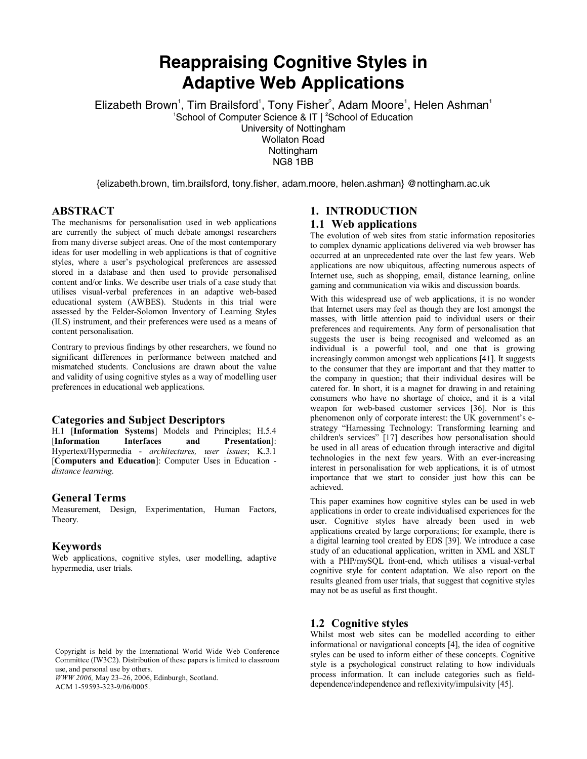# **Reappraising Cognitive Styles in Adaptive Web Applications**

Elizabeth Brown<sup>1</sup>, Tim Brailsford<sup>1</sup>, Tony Fisher<sup>2</sup>, Adam Moore<sup>1</sup>, Helen Ashman<sup>1</sup>

<sup>1</sup>School of Computer Science & IT | <sup>2</sup>School of Education

University of Nottingham Wollaton Road Nottingham NG8 1BB

{elizabeth.brown, tim.brailsford, tony.fisher, adam.moore, helen.ashman} @nottingham.ac.uk

## **ABSTRACT**

The mechanisms for personalisation used in web applications are currently the subject of much debate amongst researchers from many diverse subject areas. One of the most contemporary ideas for user modelling in web applications is that of cognitive styles, where a user's psychological preferences are assessed stored in a database and then used to provide personalised content and/or links. We describe user trials of a case study that utilises visual-verbal preferences in an adaptive web-based educational system (AWBES). Students in this trial were assessed by the Felder-Solomon Inventory of Learning Styles (ILS) instrument, and their preferences were used as a means of content personalisation.

Contrary to previous findings by other researchers, we found no significant differences in performance between matched and mismatched students. Conclusions are drawn about the value and validity of using cognitive styles as a way of modelling user preferences in educational web applications.

#### **Categories and Subject Descriptors**

H.1 [**Information Systems**] Models and Principles; H.5.4 [**Information Interfaces and Presentation**]: Hypertext/Hypermedia - *architectures, user issues*; K.3.1 [**Computers and Education**]: Computer Uses in Education *distance learning.*

#### **General Terms**

Measurement, Design, Experimentation, Human Factors, Theory.

#### **Keywords**

Web applications, cognitive styles, user modelling, adaptive hypermedia, user trials.

# **1. INTRODUCTION**

#### **1.1 Web applications**

The evolution of web sites from static information repositories to complex dynamic applications delivered via web browser has occurred at an unprecedented rate over the last few years. Web applications are now ubiquitous, affecting numerous aspects of Internet use, such as shopping, email, distance learning, online gaming and communication via wikis and discussion boards.

With this widespread use of web applications, it is no wonder that Internet users may feel as though they are lost amongst the masses, with little attention paid to individual users or their preferences and requirements. Any form of personalisation that suggests the user is being recognised and welcomed as an individual is a powerful tool, and one that is growing increasingly common amongst web applications [41]. It suggests to the consumer that they are important and that they matter to the company in question; that their individual desires will be catered for. In short, it is a magnet for drawing in and retaining consumers who have no shortage of choice, and it is a vital weapon for web-based customer services [36]. Nor is this phenomenon only of corporate interest: the UK government's estrategy "Harnessing Technology: Transforming learning and children's services" [17] describes how personalisation should be used in all areas of education through interactive and digital technologies in the next few years. With an ever-increasing interest in personalisation for web applications, it is of utmost importance that we start to consider just how this can be achieved.

This paper examines how cognitive styles can be used in web applications in order to create individualised experiences for the user. Cognitive styles have already been used in web applications created by large corporations; for example, there is a digital learning tool created by EDS [39]. We introduce a case study of an educational application, written in XML and XSLT with a PHP/mySQL front-end, which utilises a visual-verbal cognitive style for content adaptation. We also report on the results gleaned from user trials, that suggest that cognitive styles may not be as useful as first thought.

# **1.2 Cognitive styles**

Whilst most web sites can be modelled according to either informational or navigational concepts [4], the idea of cognitive styles can be used to inform either of these concepts. Cognitive style is a psychological construct relating to how individuals process information. It can include categories such as fielddependence/independence and reflexivity/impulsivity [45].

Copyright is held by the International World Wide Web Conference Committee (IW3C2). Distribution of these papers is limited to classroom use, and personal use by others. *WWW 2006,* May 23–26, 2006, Edinburgh, Scotland. ACM 1-59593-323-9/06/0005.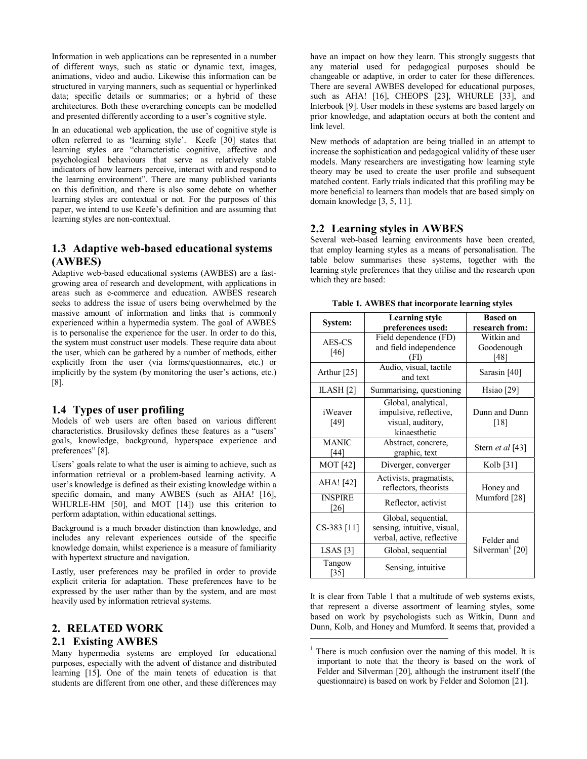Information in web applications can be represented in a number of different ways, such as static or dynamic text, images, animations, video and audio. Likewise this information can be structured in varying manners, such as sequential or hyperlinked data; specific details or summaries; or a hybrid of these architectures. Both these overarching concepts can be modelled and presented differently according to a user's cognitive style.

In an educational web application, the use of cognitive style is often referred to as 'learning style'. Keefe [30] states that learning styles are "characteristic cognitive, affective and psychological behaviours that serve as relatively stable indicators of how learners perceive, interact with and respond to the learning environment". There are many published variants on this definition, and there is also some debate on whether learning styles are contextual or not. For the purposes of this paper, we intend to use Keefe's definition and are assuming that learning styles are non-contextual.

# **1.3 Adaptive web-based educational systems (AWBES)**

Adaptive web-based educational systems (AWBES) are a fastgrowing area of research and development, with applications in areas such as e-commerce and education. AWBES research seeks to address the issue of users being overwhelmed by the massive amount of information and links that is commonly experienced within a hypermedia system. The goal of AWBES is to personalise the experience for the user. In order to do this, the system must construct user models. These require data about the user, which can be gathered by a number of methods, either explicitly from the user (via forms/questionnaires, etc.) or implicitly by the system (by monitoring the user's actions, etc.) [8].

#### **1.4 Types of user profiling**

Models of web users are often based on various different characteristics. Brusilovsky defines these features as a "users' goals, knowledge, background, hyperspace experience and preferences" [8].

Users' goals relate to what the user is aiming to achieve, such as information retrieval or a problem-based learning activity. A user's knowledge is defined as their existing knowledge within a specific domain, and many AWBES (such as AHA! [16], WHURLE-HM [50], and MOT [14]) use this criterion to perform adaptation, within educational settings.

Background is a much broader distinction than knowledge, and includes any relevant experiences outside of the specific knowledge domain, whilst experience is a measure of familiarity with hypertext structure and navigation.

Lastly, user preferences may be profiled in order to provide explicit criteria for adaptation. These preferences have to be expressed by the user rather than by the system, and are most heavily used by information retrieval systems.

## **2. RELATED WORK 2.1 Existing AWBES**

Many hypermedia systems are employed for educational purposes, especially with the advent of distance and distributed learning [15]. One of the main tenets of education is that students are different from one other, and these differences may have an impact on how they learn. This strongly suggests that any material used for pedagogical purposes should be changeable or adaptive, in order to cater for these differences. There are several AWBES developed for educational purposes, such as AHA! [16], CHEOPS [23], WHURLE [33], and Interbook [9]. User models in these systems are based largely on prior knowledge, and adaptation occurs at both the content and link level.

New methods of adaptation are being trialled in an attempt to increase the sophistication and pedagogical validity of these user models. Many researchers are investigating how learning style theory may be used to create the user profile and subsequent matched content. Early trials indicated that this profiling may be more beneficial to learners than models that are based simply on domain knowledge [3, 5, 11].

## **2.2 Learning styles in AWBES**

Several web-based learning environments have been created, that employ learning styles as a means of personalisation. The table below summarises these systems, together with the learning style preferences that they utilise and the research upon which they are based:

| System:         | <b>Learning style</b>       | <b>Based on</b>             |  |
|-----------------|-----------------------------|-----------------------------|--|
|                 | preferences used:           | research from:              |  |
| AES-CS          | Field dependence (FD)       | Witkin and                  |  |
|                 | and field independence      | Goodenough                  |  |
| [46]            | (FI)                        | [48]                        |  |
| Arthur $[25]$   | Audio, visual, tactile      | Sarasin [40]                |  |
|                 | and text                    |                             |  |
| ILASH [2]       | Summarising, questioning    | Hsiao [29]                  |  |
|                 | Global, analytical,         |                             |  |
| iWeaver         | impulsive, reflective,      | Dunn and Dunn               |  |
| [49]            | visual, auditory,           | [18]                        |  |
|                 | kinaesthetic                |                             |  |
| <b>MANIC</b>    | Abstract, concrete,         | Stern <i>et al</i> [43]     |  |
| [44]            | graphic, text               |                             |  |
| <b>MOT</b> [42] | Diverger, converger         | Kolb [31]                   |  |
| AHA! [42]       | Activists, pragmatists,     |                             |  |
|                 | reflectors, theorists       | Honey and                   |  |
| <b>INSPIRE</b>  | Reflector, activist         | Mumford [28]                |  |
| [26]            |                             |                             |  |
|                 | Global, sequential,         |                             |  |
| CS-383 [11]     | sensing, intuitive, visual, |                             |  |
|                 | verbal, active, reflective  | Felder and                  |  |
| LSAS[3]         | Global, sequential          | Silverman <sup>1</sup> [20] |  |
| Tangow          | Sensing, intuitive          |                             |  |
| [35]            |                             |                             |  |

**Table 1. AWBES that incorporate learning styles** 

It is clear from Table 1 that a multitude of web systems exists, that represent a diverse assortment of learning styles, some based on work by psychologists such as Witkin, Dunn and Dunn, Kolb, and Honey and Mumford. It seems that, provided a

 $\overline{a}$ 

<sup>&</sup>lt;sup>1</sup> There is much confusion over the naming of this model. It is important to note that the theory is based on the work of Felder and Silverman [20], although the instrument itself (the questionnaire) is based on work by Felder and Solomon [21].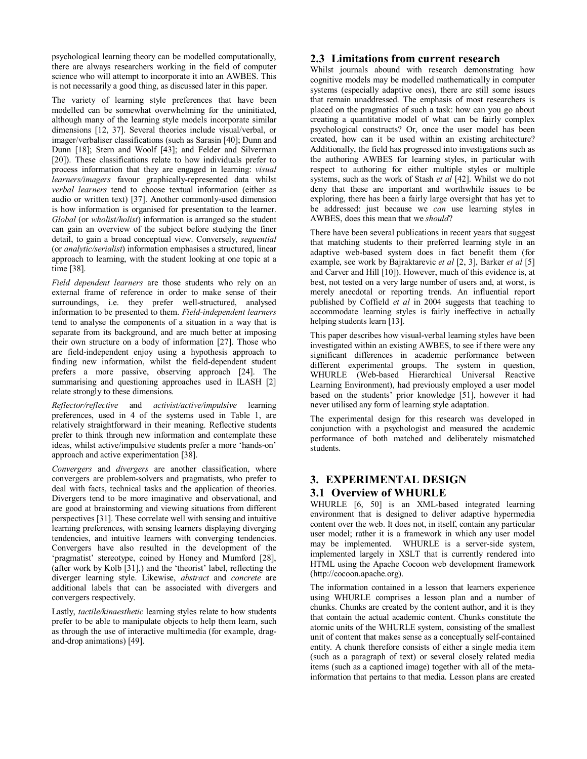psychological learning theory can be modelled computationally, there are always researchers working in the field of computer science who will attempt to incorporate it into an AWBES. This is not necessarily a good thing, as discussed later in this paper.

The variety of learning style preferences that have been modelled can be somewhat overwhelming for the uninitiated, although many of the learning style models incorporate similar dimensions [12, 37]. Several theories include visual/verbal, or imager/verbaliser classifications (such as Sarasin [40]; Dunn and Dunn [18]; Stern and Woolf [43]; and Felder and Silverman [20]). These classifications relate to how individuals prefer to process information that they are engaged in learning: *visual learners/imagers* favour graphically-represented data whilst *verbal learners* tend to choose textual information (either as audio or written text) [37]. Another commonly-used dimension is how information is organised for presentation to the learner. *Global* (or *wholist/holist*) information is arranged so the student can gain an overview of the subject before studying the finer detail, to gain a broad conceptual view. Conversely, *sequential* (or *analytic/serialist*) information emphasises a structured, linear approach to learning, with the student looking at one topic at a time [38].

*Field dependent learners* are those students who rely on an external frame of reference in order to make sense of their surroundings, i.e. they prefer well-structured, analysed information to be presented to them. *Field-independent learners* tend to analyse the components of a situation in a way that is separate from its background, and are much better at imposing their own structure on a body of information [27]. Those who are field-independent enjoy using a hypothesis approach to finding new information, whilst the field-dependent student prefers a more passive, observing approach [24]. The summarising and questioning approaches used in ILASH [2] relate strongly to these dimensions.

*Reflector/reflective* and *activist/active/impulsive* learning preferences, used in 4 of the systems used in Table 1, are relatively straightforward in their meaning. Reflective students prefer to think through new information and contemplate these ideas, whilst active/impulsive students prefer a more 'hands-on' approach and active experimentation [38].

*Convergers* and *divergers* are another classification, where convergers are problem-solvers and pragmatists, who prefer to deal with facts, technical tasks and the application of theories. Divergers tend to be more imaginative and observational, and are good at brainstorming and viewing situations from different perspectives [31]. These correlate well with sensing and intuitive learning preferences, with sensing learners displaying diverging tendencies, and intuitive learners with converging tendencies. Convergers have also resulted in the development of the 'pragmatist' stereotype, coined by Honey and Mumford [28], (after work by Kolb [31],) and the 'theorist' label, reflecting the diverger learning style. Likewise, *abstract* and *concrete* are additional labels that can be associated with divergers and convergers respectively.

Lastly, *tactile/kinaesthetic* learning styles relate to how students prefer to be able to manipulate objects to help them learn, such as through the use of interactive multimedia (for example, dragand-drop animations) [49].

## **2.3 Limitations from current research**

Whilst journals abound with research demonstrating how cognitive models may be modelled mathematically in computer systems (especially adaptive ones), there are still some issues that remain unaddressed. The emphasis of most researchers is placed on the pragmatics of such a task: how can you go about creating a quantitative model of what can be fairly complex psychological constructs? Or, once the user model has been created, how can it be used within an existing architecture? Additionally, the field has progressed into investigations such as the authoring AWBES for learning styles, in particular with respect to authoring for either multiple styles or multiple systems, such as the work of Stash *et al* [42]. Whilst we do not deny that these are important and worthwhile issues to be exploring, there has been a fairly large oversight that has yet to be addressed: just because we *can* use learning styles in AWBES, does this mean that we *should*?

There have been several publications in recent years that suggest that matching students to their preferred learning style in an adaptive web-based system does in fact benefit them (for example, see work by Bajraktarevic *et al* [2, 3], Barker *et al* [5] and Carver and Hill [10]). However, much of this evidence is, at best, not tested on a very large number of users and, at worst, is merely anecdotal or reporting trends. An influential report published by Coffield *et al* in 2004 suggests that teaching to accommodate learning styles is fairly ineffective in actually helping students learn [13].

This paper describes how visual-verbal learning styles have been investigated within an existing AWBES, to see if there were any significant differences in academic performance between different experimental groups. The system in question, WHURLE (Web-based Hierarchical Universal Reactive Learning Environment), had previously employed a user model based on the students' prior knowledge [51], however it had never utilised any form of learning style adaptation.

The experimental design for this research was developed in conjunction with a psychologist and measured the academic performance of both matched and deliberately mismatched students.

# **3. EXPERIMENTAL DESIGN 3.1 Overview of WHURLE**

WHURLE [6, 50] is an XML-based integrated learning environment that is designed to deliver adaptive hypermedia content over the web. It does not, in itself, contain any particular user model; rather it is a framework in which any user model may be implemented. WHURLE is a server-side system, implemented largely in XSLT that is currently rendered into HTML using the Apache Cocoon web development framework (http://cocoon.apache.org).

The information contained in a lesson that learners experience using WHURLE comprises a lesson plan and a number of chunks. Chunks are created by the content author, and it is they that contain the actual academic content. Chunks constitute the atomic units of the WHURLE system, consisting of the smallest unit of content that makes sense as a conceptually self-contained entity. A chunk therefore consists of either a single media item (such as a paragraph of text) or several closely related media items (such as a captioned image) together with all of the metainformation that pertains to that media. Lesson plans are created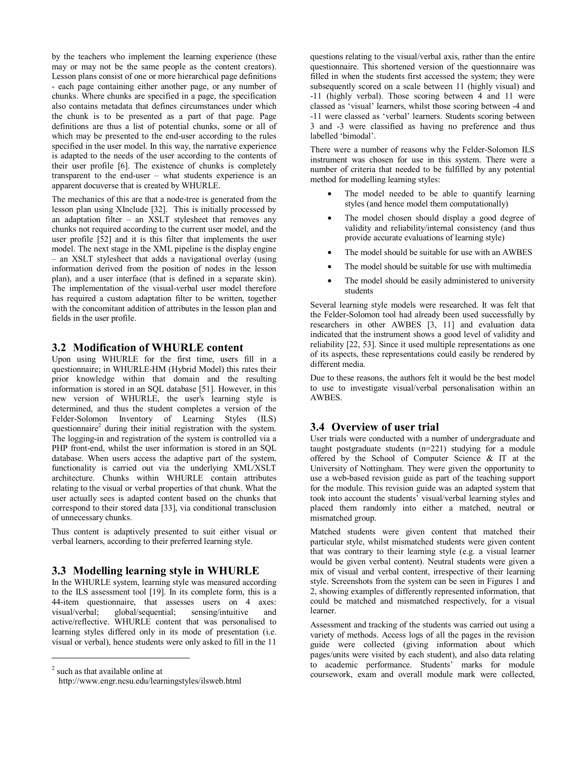by the teachers who implement the learning experience (these may or may not be the same people as the content creators). Lesson plans consist of one or more hierarchical page definitions - each page containing either another page, or any number of chunks. Where chunks are specified in a page, the specification also contains metadata that defines circumstances under which the chunk is to be presented as a part of that page. Page definitions are thus a list of potential chunks, some or all of which may be presented to the end-user according to the rules specified in the user model. In this way, the narrative experience is adapted to the needs of the user according to the contents of their user profile [6]. The existence of chunks is completely transparent to the end-user – what students experience is an apparent docuverse that is created by WHURLE.

The mechanics of this are that a node-tree is generated from the lesson plan using XInclude [32]. This is initially processed by an adaptation filter – an XSLT stylesheet that removes any chunks not required according to the current user model, and the user profile [52] and it is this filter that implements the user model. The next stage in the XML pipeline is the display engine – an XSLT stylesheet that adds a navigational overlay (using information derived from the position of nodes in the lesson plan), and a user interface (that is defined in a separate skin). The implementation of the visual-verbal user model therefore has required a custom adaptation filter to be written, together with the concomitant addition of attributes in the lesson plan and fields in the user profile.

#### **3.2 Modification of WHURLE content**

Upon using WHURLE for the first time, users fill in a questionnaire; in WHURLE-HM (Hybrid Model) this rates their prior knowledge within that domain and the resulting information is stored in an SQL database [51]. However, in this new version of WHURLE, the user's learning style is determined, and thus the student completes a version of the Felder-Solomon Inventory of Learning Styles (ILS) questionnaire<sup>2</sup> during their initial registration with the system. The logging-in and registration of the system is controlled via a PHP front-end, whilst the user information is stored in an SQL database. When users access the adaptive part of the system, functionality is carried out via the underlying XML/XSLT architecture. Chunks within WHURLE contain attributes relating to the visual or verbal properties of that chunk. What the user actually sees is adapted content based on the chunks that correspond to their stored data [33], via conditional transclusion of unnecessary chunks.

Thus content is adaptively presented to suit either visual or verbal learners, according to their preferred learning style.

#### **3.3 Modelling learning style in WHURLE**

In the WHURLE system, learning style was measured according to the ILS assessment tool [19]. In its complete form, this is a 44-item questionnaire, that assesses users on 4 axes: visual/verbal; global/sequential; sensing/intuitive and active/reflective. WHURLE content that was personalised to learning styles differed only in its mode of presentation (i.e. visual or verbal), hence students were only asked to fill in the 11

 $\overline{a}$ 

questions relating to the visual/verbal axis, rather than the entire questionnaire. This shortened version of the questionnaire was filled in when the students first accessed the system; they were subsequently scored on a scale between 11 (highly visual) and -11 (highly verbal). Those scoring between 4 and 11 were classed as 'visual' learners, whilst those scoring between -4 and -11 were classed as 'verbal' learners. Students scoring between 3 and -3 were classified as having no preference and thus labelled 'bimodal'.

There were a number of reasons why the Felder-Solomon ILS instrument was chosen for use in this system. There were a number of criteria that needed to be fulfilled by any potential method for modelling learning styles:

- The model needed to be able to quantify learning styles (and hence model them computationally)
- The model chosen should display a good degree of validity and reliability/internal consistency (and thus provide accurate evaluations of learning style)
- The model should be suitable for use with an AWBES
- The model should be suitable for use with multimedia
- The model should be easily administered to university students

Several learning style models were researched. It was felt that the Felder-Solomon tool had already been used successfully by researchers in other AWBES [3, 11] and evaluation data indicated that the instrument shows a good level of validity and reliability [22, 53]. Since it used multiple representations as one of its aspects, these representations could easily be rendered by different media.

Due to these reasons, the authors felt it would be the best model to use to investigate visual/verbal personalisation within an AWBES.

# **3.4 Overview of user trial**

User trials were conducted with a number of undergraduate and taught postgraduate students  $(n=221)$  studying for a module offered by the School of Computer Science & IT at the University of Nottingham. They were given the opportunity to use a web-based revision guide as part of the teaching support for the module. This revision guide was an adapted system that took into account the students' visual/verbal learning styles and placed them randomly into either a matched, neutral or mismatched group.

Matched students were given content that matched their particular style, whilst mismatched students were given content that was contrary to their learning style (e.g. a visual learner would be given verbal content). Neutral students were given a mix of visual and verbal content, irrespective of their learning style. Screenshots from the system can be seen in Figures 1 and 2, showing examples of differently represented information, that could be matched and mismatched respectively, for a visual learner.

Assessment and tracking of the students was carried out using a variety of methods. Access logs of all the pages in the revision guide were collected (giving information about which pages/units were visited by each student), and also data relating to academic performance. Students' marks for module coursework, exam and overall module mark were collected,

<sup>2</sup> such as that available online at

http://www.engr.ncsu.edu/learningstyles/ilsweb.html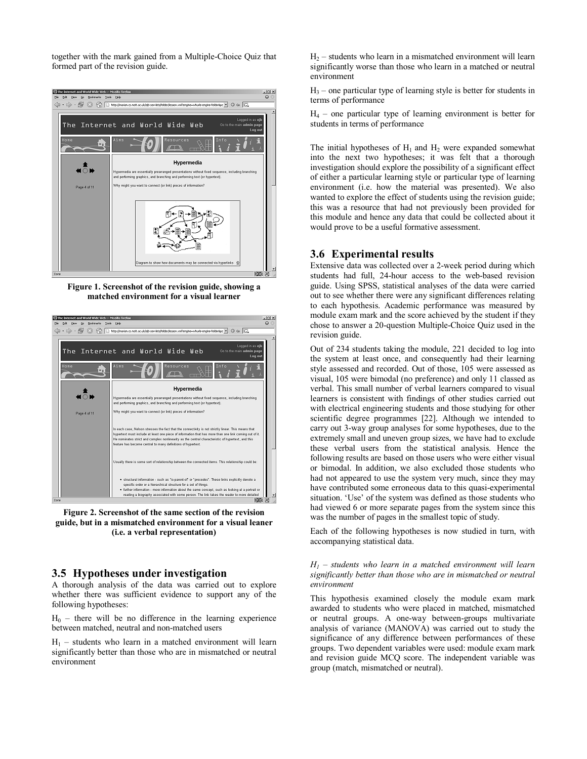together with the mark gained from a Multiple-Choice Quiz that formed part of the revision guide.



**Figure 1. Screenshot of the revision guide, showing a matched environment for a visual learner** 



**Figure 2. Screenshot of the same section of the revision guide, but in a mismatched environment for a visual leaner (i.e. a verbal representation)** 

#### **3.5 Hypotheses under investigation**

A thorough analysis of the data was carried out to explore whether there was sufficient evidence to support any of the following hypotheses:

 $H_0$  – there will be no difference in the learning experience between matched, neutral and non-matched users

 $H_1$  – students who learn in a matched environment will learn significantly better than those who are in mismatched or neutral environment

 $H<sub>2</sub>$  – students who learn in a mismatched environment will learn significantly worse than those who learn in a matched or neutral environment

 $H_3$  – one particular type of learning style is better for students in terms of performance

 $H_4$  – one particular type of learning environment is better for students in terms of performance

The initial hypotheses of  $H_1$  and  $H_2$  were expanded somewhat into the next two hypotheses; it was felt that a thorough investigation should explore the possibility of a significant effect of either a particular learning style or particular type of learning environment (i.e. how the material was presented). We also wanted to explore the effect of students using the revision guide; this was a resource that had not previously been provided for this module and hence any data that could be collected about it would prove to be a useful formative assessment.

#### **3.6 Experimental results**

Extensive data was collected over a 2-week period during which students had full, 24-hour access to the web-based revision guide. Using SPSS, statistical analyses of the data were carried out to see whether there were any significant differences relating to each hypothesis. Academic performance was measured by module exam mark and the score achieved by the student if they chose to answer a 20-question Multiple-Choice Quiz used in the revision guide.

Out of 234 students taking the module, 221 decided to log into the system at least once, and consequently had their learning style assessed and recorded. Out of those, 105 were assessed as visual, 105 were bimodal (no preference) and only 11 classed as verbal. This small number of verbal learners compared to visual learners is consistent with findings of other studies carried out with electrical engineering students and those studying for other scientific degree programmes [22]. Although we intended to carry out 3-way group analyses for some hypotheses, due to the extremely small and uneven group sizes, we have had to exclude these verbal users from the statistical analysis. Hence the following results are based on those users who were either visual or bimodal. In addition, we also excluded those students who had not appeared to use the system very much, since they may have contributed some erroneous data to this quasi-experimental situation. 'Use' of the system was defined as those students who had viewed 6 or more separate pages from the system since this was the number of pages in the smallest topic of study.

Each of the following hypotheses is now studied in turn, with accompanying statistical data.

#### *H1 – students who learn in a matched environment will learn significantly better than those who are in mismatched or neutral environment*

This hypothesis examined closely the module exam mark awarded to students who were placed in matched, mismatched or neutral groups. A one-way between-groups multivariate analysis of variance (MANOVA) was carried out to study the significance of any difference between performances of these groups. Two dependent variables were used: module exam mark and revision guide MCQ score. The independent variable was group (match, mismatched or neutral).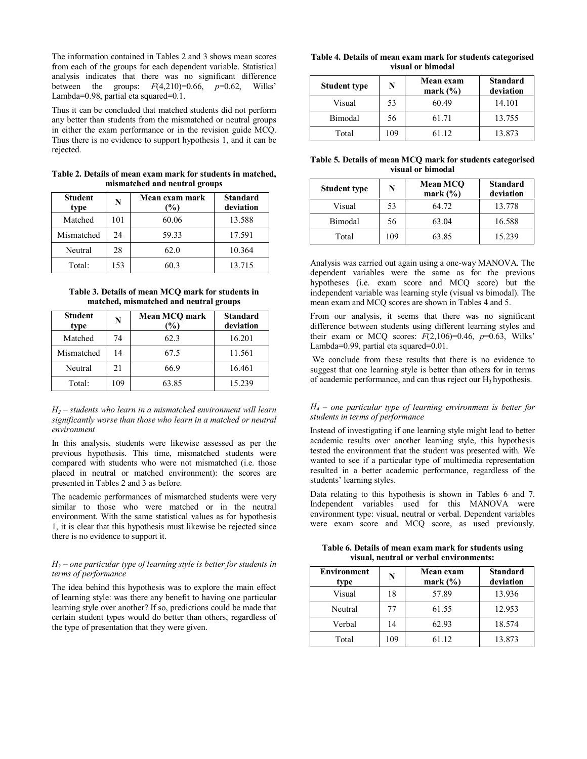The information contained in Tables 2 and 3 shows mean scores from each of the groups for each dependent variable. Statistical analysis indicates that there was no significant difference between the groups:  $F(4,210)=0.66$ ,  $p=0.62$ , Wilks' Lambda=0.98, partial eta squared=0.1.

Thus it can be concluded that matched students did not perform any better than students from the mismatched or neutral groups in either the exam performance or in the revision guide MCQ. Thus there is no evidence to support hypothesis 1, and it can be rejected.

|  |                               | Table 2. Details of mean exam mark for students in matched, |
|--|-------------------------------|-------------------------------------------------------------|
|  | mismatched and neutral groups |                                                             |

| <b>Student</b><br>type | N   | Mean exam mark<br>$\frac{9}{0}$ | <b>Standard</b><br>deviation |
|------------------------|-----|---------------------------------|------------------------------|
| Matched                | 101 | 60.06                           | 13.588                       |
| Mismatched             | 24  | 59.33                           | 17.591                       |
| Neutral                | 28  | 62.0                            | 10.364                       |
| Total:                 | 153 | 60.3                            | 13.715                       |

**Table 3. Details of mean MCQ mark for students in matched, mismatched and neutral groups** 

| <b>Student</b><br>type | N   | Mean MCQ mark<br>$\frac{1}{2}$ | <b>Standard</b><br>deviation |
|------------------------|-----|--------------------------------|------------------------------|
| Matched                | 74  | 623                            | 16.201                       |
| Mismatched             | 14  | 67.5                           | 11.561                       |
| Neutral                | 21  | 66.9                           | 16.461                       |
| Total:                 | 109 | 63.85                          | 15.239                       |

*H2 – students who learn in a mismatched environment will learn significantly worse than those who learn in a matched or neutral environment*

In this analysis, students were likewise assessed as per the previous hypothesis. This time, mismatched students were compared with students who were not mismatched (i.e. those placed in neutral or matched environment): the scores are presented in Tables 2 and 3 as before.

The academic performances of mismatched students were very similar to those who were matched or in the neutral environment. With the same statistical values as for hypothesis 1, it is clear that this hypothesis must likewise be rejected since there is no evidence to support it.

#### *H3 – one particular type of learning style is better for students in terms of performance*

The idea behind this hypothesis was to explore the main effect of learning style: was there any benefit to having one particular learning style over another? If so, predictions could be made that certain student types would do better than others, regardless of the type of presentation that they were given.

#### **Table 4. Details of mean exam mark for students categorised visual or bimodal**

| <b>Student type</b> | N   | Mean exam<br>mark $(\% )$ | <b>Standard</b><br>deviation |
|---------------------|-----|---------------------------|------------------------------|
| Visual              | 53  | 60.49                     | 14.101                       |
| Bimodal             | 56  | 61.71                     | 13.755                       |
| Total               | 109 | 61.12                     | 13.873                       |

**Table 5. Details of mean MCQ mark for students categorised visual or bimodal** 

| <b>Student type</b> | N   | <b>Mean MCO</b><br>mark $(\% )$ | <b>Standard</b><br>deviation |
|---------------------|-----|---------------------------------|------------------------------|
| Visual              | 53  | 64.72                           | 13.778                       |
| Bimodal             | 56  | 63.04                           | 16.588                       |
| Total               | 109 | 63.85                           | 15.239                       |

Analysis was carried out again using a one-way MANOVA. The dependent variables were the same as for the previous hypotheses (i.e. exam score and MCQ score) but the independent variable was learning style (visual vs bimodal). The mean exam and MCQ scores are shown in Tables 4 and 5.

From our analysis, it seems that there was no significant difference between students using different learning styles and their exam or MCQ scores:  $F(2,106)=0.46$ ,  $p=0.63$ , Wilks' Lambda=0.99, partial eta squared=0.01.

 We conclude from these results that there is no evidence to suggest that one learning style is better than others for in terms of academic performance, and can thus reject our  $H_3$  hypothesis.

#### *H4 – one particular type of learning environment is better for students in terms of performance*

Instead of investigating if one learning style might lead to better academic results over another learning style, this hypothesis tested the environment that the student was presented with. We wanted to see if a particular type of multimedia representation resulted in a better academic performance, regardless of the students' learning styles.

Data relating to this hypothesis is shown in Tables 6 and 7. Independent variables used for this MANOVA were environment type: visual, neutral or verbal. Dependent variables were exam score and MCQ score, as used previously.

**Table 6. Details of mean exam mark for students using visual, neutral or verbal environments:** 

| <b>Environment</b><br>type | N   | Mean exam<br>mark $(\% )$ | <b>Standard</b><br>deviation |
|----------------------------|-----|---------------------------|------------------------------|
| Visual                     | 18  | 57.89                     | 13.936                       |
| Neutral                    | 77  | 61.55                     | 12.953                       |
| Verbal                     | 14  | 62.93                     | 18.574                       |
| Total                      | 109 | 61.12                     | 13.873                       |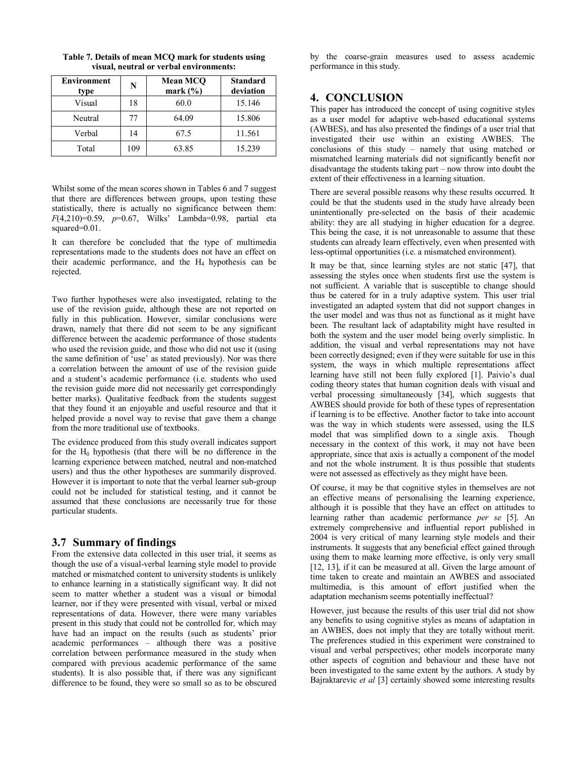| <b>Environment</b><br>type | N   | <b>Mean MCQ</b><br>mark $(\% )$ | <b>Standard</b><br>deviation |
|----------------------------|-----|---------------------------------|------------------------------|
| Visual                     | 18  | 60.0                            | 15.146                       |
| Neutral                    | 77  | 64.09                           | 15.806                       |
| Verbal                     | 14  | 67.5                            | 11.561                       |
| Total                      | 109 | 63.85                           | 15.239                       |

**Table 7. Details of mean MCQ mark for students using visual, neutral or verbal environments:** 

Whilst some of the mean scores shown in Tables 6 and 7 suggest that there are differences between groups, upon testing these statistically, there is actually no significance between them: *F*(4,210)=0.59, *p*=0.67, Wilks' Lambda=0.98, partial eta squared=0.01.

It can therefore be concluded that the type of multimedia representations made to the students does not have an effect on their academic performance, and the  $H_4$  hypothesis can be rejected.

Two further hypotheses were also investigated, relating to the use of the revision guide, although these are not reported on fully in this publication. However, similar conclusions were drawn, namely that there did not seem to be any significant difference between the academic performance of those students who used the revision guide, and those who did not use it (using the same definition of 'use' as stated previously). Nor was there a correlation between the amount of use of the revision guide and a student's academic performance (i.e. students who used the revision guide more did not necessarily get correspondingly better marks). Qualitative feedback from the students suggest that they found it an enjoyable and useful resource and that it helped provide a novel way to revise that gave them a change from the more traditional use of textbooks.

The evidence produced from this study overall indicates support for the  $H_0$  hypothesis (that there will be no difference in the learning experience between matched, neutral and non-matched users) and thus the other hypotheses are summarily disproved. However it is important to note that the verbal learner sub-group could not be included for statistical testing, and it cannot be assumed that these conclusions are necessarily true for those particular students.

#### **3.7 Summary of findings**

From the extensive data collected in this user trial, it seems as though the use of a visual-verbal learning style model to provide matched or mismatched content to university students is unlikely to enhance learning in a statistically significant way. It did not seem to matter whether a student was a visual or bimodal learner, nor if they were presented with visual, verbal or mixed representations of data. However, there were many variables present in this study that could not be controlled for, which may have had an impact on the results (such as students' prior academic performances – although there was a positive correlation between performance measured in the study when compared with previous academic performance of the same students). It is also possible that, if there was any significant difference to be found, they were so small so as to be obscured

by the coarse-grain measures used to assess academic performance in this study.

## **4. CONCLUSION**

This paper has introduced the concept of using cognitive styles as a user model for adaptive web-based educational systems (AWBES), and has also presented the findings of a user trial that investigated their use within an existing AWBES. The conclusions of this study – namely that using matched or mismatched learning materials did not significantly benefit nor disadvantage the students taking part – now throw into doubt the extent of their effectiveness in a learning situation.

There are several possible reasons why these results occurred. It could be that the students used in the study have already been unintentionally pre-selected on the basis of their academic ability: they are all studying in higher education for a degree. This being the case, it is not unreasonable to assume that these students can already learn effectively, even when presented with less-optimal opportunities (i.e. a mismatched environment).

It may be that, since learning styles are not static [47], that assessing the styles once when students first use the system is not sufficient. A variable that is susceptible to change should thus be catered for in a truly adaptive system. This user trial investigated an adapted system that did not support changes in the user model and was thus not as functional as it might have been. The resultant lack of adaptability might have resulted in both the system and the user model being overly simplistic. In addition, the visual and verbal representations may not have been correctly designed; even if they were suitable for use in this system, the ways in which multiple representations affect learning have still not been fully explored [1]. Paivio's dual coding theory states that human cognition deals with visual and verbal processing simultaneously [34], which suggests that AWBES should provide for both of these types of representation if learning is to be effective. Another factor to take into account was the way in which students were assessed, using the ILS model that was simplified down to a single axis. Though necessary in the context of this work, it may not have been appropriate, since that axis is actually a component of the model and not the whole instrument. It is thus possible that students were not assessed as effectively as they might have been.

Of course, it may be that cognitive styles in themselves are not an effective means of personalising the learning experience, although it is possible that they have an effect on attitudes to learning rather than academic performance *per se* [5]. An extremely comprehensive and influential report published in 2004 is very critical of many learning style models and their instruments. It suggests that any beneficial effect gained through using them to make learning more effective, is only very small [12, 13], if it can be measured at all. Given the large amount of time taken to create and maintain an AWBES and associated multimedia, is this amount of effort justified when the adaptation mechanism seems potentially ineffectual?

However, just because the results of this user trial did not show any benefits to using cognitive styles as means of adaptation in an AWBES, does not imply that they are totally without merit. The preferences studied in this experiment were constrained to visual and verbal perspectives; other models incorporate many other aspects of cognition and behaviour and these have not been investigated to the same extent by the authors. A study by Bajraktarevic *et al* [3] certainly showed some interesting results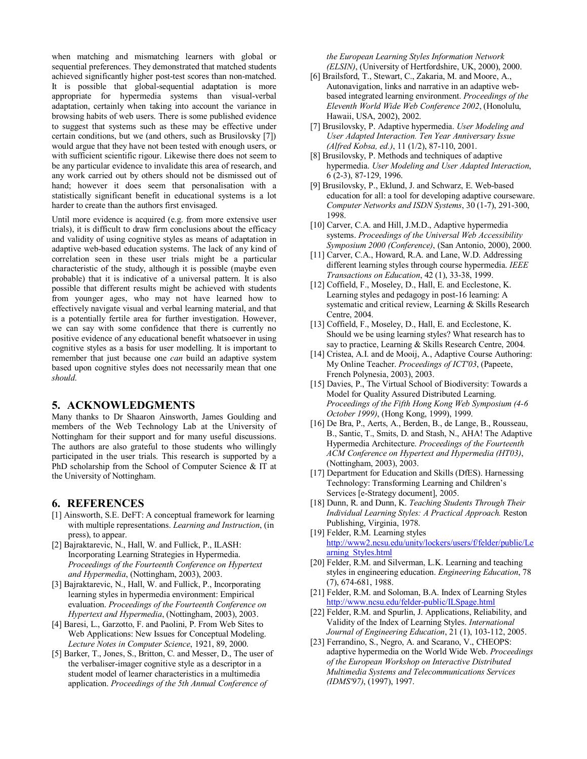when matching and mismatching learners with global or sequential preferences. They demonstrated that matched students achieved significantly higher post-test scores than non-matched. It is possible that global-sequential adaptation is more appropriate for hypermedia systems than visual-verbal adaptation, certainly when taking into account the variance in browsing habits of web users. There is some published evidence to suggest that systems such as these may be effective under certain conditions, but we (and others, such as Brusilovsky [7]) would argue that they have not been tested with enough users, or with sufficient scientific rigour. Likewise there does not seem to be any particular evidence to invalidate this area of research, and any work carried out by others should not be dismissed out of hand; however it does seem that personalisation with a statistically significant benefit in educational systems is a lot harder to create than the authors first envisaged.

Until more evidence is acquired (e.g. from more extensive user trials), it is difficult to draw firm conclusions about the efficacy and validity of using cognitive styles as means of adaptation in adaptive web-based education systems. The lack of any kind of correlation seen in these user trials might be a particular characteristic of the study, although it is possible (maybe even probable) that it is indicative of a universal pattern. It is also possible that different results might be achieved with students from younger ages, who may not have learned how to effectively navigate visual and verbal learning material, and that is a potentially fertile area for further investigation. However, we can say with some confidence that there is currently no positive evidence of any educational benefit whatsoever in using cognitive styles as a basis for user modelling. It is important to remember that just because one *can* build an adaptive system based upon cognitive styles does not necessarily mean that one *should*.

## **5. ACKNOWLEDGMENTS**

Many thanks to Dr Shaaron Ainsworth, James Goulding and members of the Web Technology Lab at the University of Nottingham for their support and for many useful discussions. The authors are also grateful to those students who willingly participated in the user trials. This research is supported by a PhD scholarship from the School of Computer Science & IT at the University of Nottingham.

#### **6. REFERENCES**

- [1] Ainsworth, S.E. DeFT: A conceptual framework for learning with multiple representations. *Learning and Instruction*, (in press), to appear.
- [2] Bajraktarevic, N., Hall, W. and Fullick, P., ILASH: Incorporating Learning Strategies in Hypermedia. *Proceedings of the Fourteenth Conference on Hypertext and Hypermedia*, (Nottingham, 2003), 2003.
- [3] Bajraktarevic, N., Hall, W. and Fullick, P., Incorporating learning styles in hypermedia environment: Empirical evaluation. *Proceedings of the Fourteenth Conference on Hypertext and Hypermedia*, (Nottingham, 2003), 2003.
- [4] Baresi, L., Garzotto, F. and Paolini, P. From Web Sites to Web Applications: New Issues for Conceptual Modeling. *Lecture Notes in Computer Science*, 1921, 89, 2000.
- [5] Barker, T., Jones, S., Britton, C. and Messer, D., The user of the verbaliser-imager cognitive style as a descriptor in a student model of learner characteristics in a multimedia application. *Proceedings of the 5th Annual Conference of*

*the European Learning Styles Information Network (ELSIN)*, (University of Hertfordshire, UK, 2000), 2000.

- [6] Brailsford, T., Stewart, C., Zakaria, M. and Moore, A., Autonavigation, links and narrative in an adaptive webbased integrated learning environment. *Proceedings of the Eleventh World Wide Web Conference 2002*, (Honolulu, Hawaii, USA, 2002), 2002.
- [7] Brusilovsky, P. Adaptive hypermedia. *User Modeling and User Adapted Interaction. Ten Year Anniversary Issue (Alfred Kobsa, ed.)*, 11 (1/2), 87-110, 2001.
- [8] Brusilovsky, P. Methods and techniques of adaptive hypermedia. *User Modeling and User Adapted Interaction*, 6 (2-3), 87-129, 1996.
- [9] Brusilovsky, P., Eklund, J. and Schwarz, E. Web-based education for all: a tool for developing adaptive courseware. *Computer Networks and ISDN Systems*, 30 (1-7), 291-300, 1998.
- [10] Carver, C.A. and Hill, J.M.D., Adaptive hypermedia systems. *Proceedings of the Universal Web Accessibility Symposium 2000 (Conference)*, (San Antonio, 2000), 2000.
- [11] Carver, C.A., Howard, R.A. and Lane, W.D. Addressing different learning styles through course hypermedia. *IEEE Transactions on Education*, 42 (1), 33-38, 1999.
- [12] Coffield, F., Moseley, D., Hall, E. and Ecclestone, K. Learning styles and pedagogy in post-16 learning: A systematic and critical review, Learning & Skills Research Centre, 2004.
- [13] Coffield, F., Moseley, D., Hall, E. and Ecclestone, K. Should we be using learning styles? What research has to say to practice, Learning & Skills Research Centre, 2004.
- [14] Cristea, A.I. and de Mooij, A., Adaptive Course Authoring: My Online Teacher. *Proceedings of ICT'03*, (Papeete, French Polynesia, 2003), 2003.
- [15] Davies, P., The Virtual School of Biodiversity: Towards a Model for Quality Assured Distributed Learning. *Proceedings of the Fifth Hong Kong Web Symposium (4-6 October 1999)*, (Hong Kong, 1999), 1999.
- [16] De Bra, P., Aerts, A., Berden, B., de Lange, B., Rousseau, B., Santic, T., Smits, D. and Stash, N., AHA! The Adaptive Hypermedia Architecture. *Proceedings of the Fourteenth ACM Conference on Hypertext and Hypermedia (HT03)*, (Nottingham, 2003), 2003.
- [17] Department for Education and Skills (DfES). Harnessing Technology: Transforming Learning and Children's Services [e-Strategy document], 2005.
- [18] Dunn, R. and Dunn, K. *Teaching Students Through Their Individual Learning Styles: A Practical Approach.* Reston Publishing, Virginia, 1978.
- [19] Felder, R.M. Learning styles http://www2.ncsu.edu/unity/lockers/users/f/felder/public/Le arning\_Styles.html
- [20] Felder, R.M. and Silverman, L.K. Learning and teaching styles in engineering education. *Engineering Education*, 78 (7), 674-681, 1988.
- [21] Felder, R.M. and Soloman, B.A. Index of Learning Styles http://www.ncsu.edu/felder-public/ILSpage.html
- [22] Felder, R.M. and Spurlin, J. Applications, Reliability, and Validity of the Index of Learning Styles. *International Journal of Engineering Education*, 21 (1), 103-112, 2005.
- [23] Ferrandino, S., Negro, A. and Scarano, V., CHEOPS: adaptive hypermedia on the World Wide Web. *Proceedings of the European Workshop on Interactive Distributed Multimedia Systems and Telecommunications Services (IDMS'97)*, (1997), 1997.